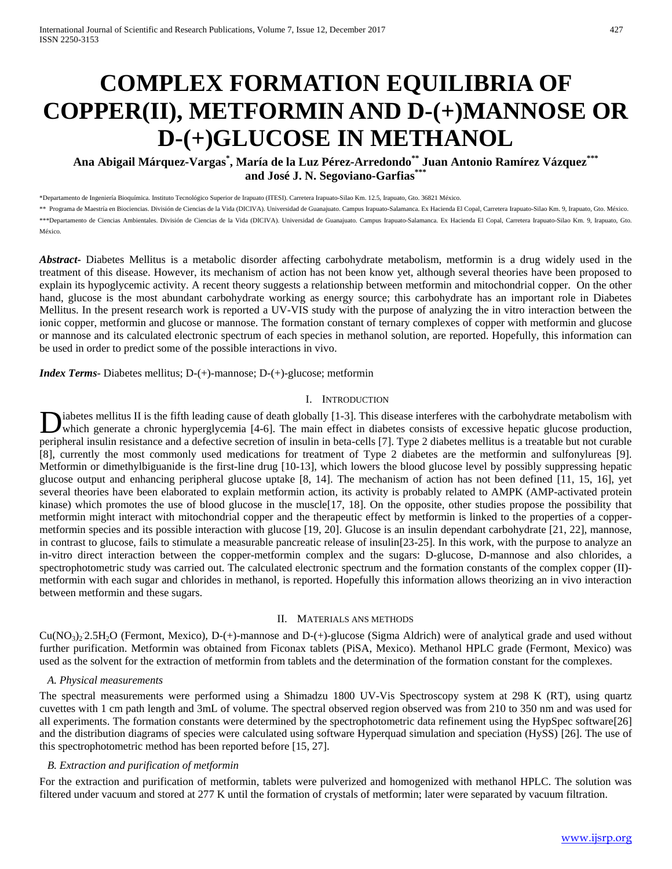# **COMPLEX FORMATION EQUILIBRIA OF COPPER(II), METFORMIN AND D-(+)MANNOSE OR D-(+)GLUCOSE IN METHANOL**

**Ana Abigail Márquez-Vargas\* , María de la Luz Pérez-Arredondo\*\* Juan Antonio Ramírez Vázquez\*\*\*** and José J. N. Segoviano-Garfias\*\*

\*Departamento de Ingeniería Bioquímica. Instituto Tecnológico Superior de Irapuato (ITESI). Carretera Irapuato-Silao Km. 12.5, Irapuato, Gto. 36821 México.

\*\* Programa de Maestría en Biociencias. División de Ciencias de la Vida (DICIVA). Universidad de Guanajuato. Campus Irapuato-Salamanca. Ex Hacienda El Copal, Carretera Irapuato-Silao Km. 9, Irapuato, Gto. México. \*\*\*Departamento de Ciencias Ambientales. División de Ciencias de la Vida (DICIVA). Universidad de Guanajuato. Campus Irapuato-Salamanca. Ex Hacienda El Copal, Carretera Irapuato-Silao Km. 9, Irapuato, Gto. México.

*Abstract***-** Diabetes Mellitus is a metabolic disorder affecting carbohydrate metabolism, metformin is a drug widely used in the treatment of this disease. However, its mechanism of action has not been know yet, although several theories have been proposed to explain its hypoglycemic activity. A recent theory suggests a relationship between metformin and mitochondrial copper. On the other hand, glucose is the most abundant carbohydrate working as energy source; this carbohydrate has an important role in Diabetes Mellitus. In the present research work is reported a UV-VIS study with the purpose of analyzing the in vitro interaction between the ionic copper, metformin and glucose or mannose. The formation constant of ternary complexes of copper with metformin and glucose or mannose and its calculated electronic spectrum of each species in methanol solution, are reported. Hopefully, this information can be used in order to predict some of the possible interactions in vivo.

### *Index Terms*- Diabetes mellitus; D-(+)-mannose; D-(+)-glucose; metformin

## I. INTRODUCTION

iabetes mellitus II is the fifth leading cause of death globally [1-3]. This disease interferes with the carbohydrate metabolism with which generate a chronic hyperglycemia [4-6]. The main effect in diabetes consists of excessive hepatic glucose production, Diabetes mellitus II is the fifth leading cause of death globally [1-3]. This disease interferes with the carbohydrate metabolism with which generate a chronic hyperglycemia [4-6]. The main effect in diabetes consists of e [8], currently the most commonly used medications for treatment of Type 2 diabetes are the metformin and sulfonylureas [9]. Metformin or dimethylbiguanide is the first-line drug [10-13], which lowers the blood glucose level by possibly suppressing hepatic glucose output and enhancing peripheral glucose uptake [8, 14]. The mechanism of action has not been defined [11, 15, 16], yet several theories have been elaborated to explain metformin action, its activity is probably related to AMPK (AMP-activated protein kinase) which promotes the use of blood glucose in the muscle<sup>[17, 18]</sup>. On the opposite, other studies propose the possibility that metformin might interact with mitochondrial copper and the therapeutic effect by metformin is linked to the properties of a coppermetformin species and its possible interaction with glucose [19, 20]. Glucose is an insulin dependant carbohydrate [21, 22], mannose, in contrast to glucose, fails to stimulate a measurable pancreatic release of insulin[23-25]. In this work, with the purpose to analyze an in-vitro direct interaction between the copper-metformin complex and the sugars: D-glucose, D-mannose and also chlorides, a spectrophotometric study was carried out. The calculated electronic spectrum and the formation constants of the complex copper (II) metformin with each sugar and chlorides in methanol, is reported. Hopefully this information allows theorizing an in vivo interaction between metformin and these sugars.

# II. MATERIALS ANS METHODS

Cu(NO<sub>3</sub>)<sub>2</sub><sup>2</sup>.5H<sub>2</sub>O (Fermont, Mexico), D-(+)-mannose and D-(+)-glucose (Sigma Aldrich) were of analytical grade and used without further purification. Metformin was obtained from Ficonax tablets (PiSA, Mexico). Methanol HPLC grade (Fermont, Mexico) was used as the solvent for the extraction of metformin from tablets and the determination of the formation constant for the complexes.

## *A. Physical measurements*

The spectral measurements were performed using a Shimadzu 1800 UV-Vis Spectroscopy system at 298 K (RT), using quartz cuvettes with 1 cm path length and 3mL of volume. The spectral observed region observed was from 210 to 350 nm and was used for all experiments. The formation constants were determined by the spectrophotometric data refinement using the HypSpec software[26] and the distribution diagrams of species were calculated using software Hyperquad simulation and speciation (HySS) [26]. The use of this spectrophotometric method has been reported before [15, 27].

## *B. Extraction and purification of metformin*

For the extraction and purification of metformin, tablets were pulverized and homogenized with methanol HPLC. The solution was filtered under vacuum and stored at 277 K until the formation of crystals of metformin; later were separated by vacuum filtration.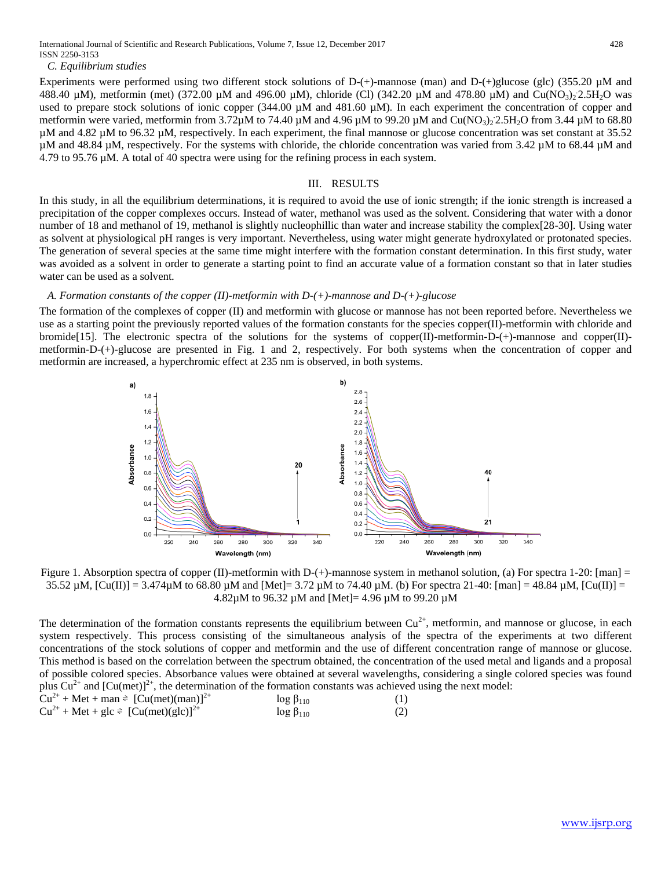*C. Equilibrium studies* 

Experiments were performed using two different stock solutions of  $D-(+)$ -mannose (man) and  $D(+)$ glucose (glc) (355.20  $\mu$ M and 488.40  $\mu$ M), metformin (met) (372.00  $\mu$ M and 496.00  $\mu$ M), chloride (Cl) (342.20  $\mu$ M and 478.80  $\mu$ M) and Cu(NO<sub>3</sub>)<sub>2</sub>.5H<sub>2</sub>O was used to prepare stock solutions of ionic copper (344.00  $\mu$ M and 481.60  $\mu$ M). In each experiment the concentration of copper and metformin were varied, metformin from  $3.72\mu$ M to  $74.40\mu$ M and  $4.96\mu$ M to  $99.20\mu$ M and  $Cu(NO<sub>3</sub>)<sub>2</sub>$ <sup>2</sup> $.5H<sub>2</sub>O$  from  $3.44\mu$ M to 68.80 µM and 4.82 µM to 96.32 µM, respectively. In each experiment, the final mannose or glucose concentration was set constant at 35.52 µM and 48.84 µM, respectively. For the systems with chloride, the chloride concentration was varied from 3.42 µM to 68.44 µM and 4.79 to 95.76 µM. A total of 40 spectra were using for the refining process in each system.

## III. RESULTS

In this study, in all the equilibrium determinations, it is required to avoid the use of ionic strength; if the ionic strength is increased a precipitation of the copper complexes occurs. Instead of water, methanol was used as the solvent. Considering that water with a donor number of 18 and methanol of 19, methanol is slightly nucleophillic than water and increase stability the complex[28-30]. Using water as solvent at physiological pH ranges is very important. Nevertheless, using water might generate hydroxylated or protonated species. The generation of several species at the same time might interfere with the formation constant determination. In this first study, water was avoided as a solvent in order to generate a starting point to find an accurate value of a formation constant so that in later studies water can be used as a solvent.

## *A. Formation constants of the copper (II)-metformin with D-(+)-mannose and D-(+)-glucose*

The formation of the complexes of copper (II) and metformin with glucose or mannose has not been reported before. Nevertheless we use as a starting point the previously reported values of the formation constants for the species copper(II)-metformin with chloride and bromide[15]. The electronic spectra of the solutions for the systems of copper(II)-metformin-D-(+)-mannose and copper(II) metformin-D-(+)-glucose are presented in Fig. 1 and 2, respectively. For both systems when the concentration of copper and metformin are increased, a hyperchromic effect at 235 nm is observed, in both systems.



Figure 1. Absorption spectra of copper (II)-metformin with  $D-(+)$ -mannose system in methanol solution, (a) For spectra 1-20: [man] = 35.52  $\mu$ M, [Cu(II)] = 3.474 $\mu$ M to 68.80  $\mu$ M and [Met]= 3.72  $\mu$ M to 74.40  $\mu$ M. (b) For spectra 21-40: [man] = 48.84  $\mu$ M, [Cu(II)] = 4.82µM to 96.32 µM and [Met]= 4.96 µM to 99.20 µM

The determination of the formation constants represents the equilibrium between  $Cu^{2+}$ , metformin, and mannose or glucose, in each system respectively. This process consisting of the simultaneous analysis of the spectra of the experiments at two different concentrations of the stock solutions of copper and metformin and the use of different concentration range of mannose or glucose. This method is based on the correlation between the spectrum obtained, the concentration of the used metal and ligands and a proposal of possible colored species. Absorbance values were obtained at several wavelengths, considering a single colored species was found plus Cu<sup>2+</sup> and  $\left[\text{Cu(met)}\right]^{2+}$ , the determination of the formation constants was achieved using the next model:  $Cu^{2+} + Met + man \approx [Cu(met)(man)]$  $^{2+}$  log  $\beta_{110}$  (1)

| $Cu^+ + Met + man \neq  Cu(met)(man) ^+$          | $log b_{110}$     |  |
|---------------------------------------------------|-------------------|--|
| $Cu^{2+} + Met + glc \approx [Cu(met)(glc)]^{2+}$ | $log \beta_{110}$ |  |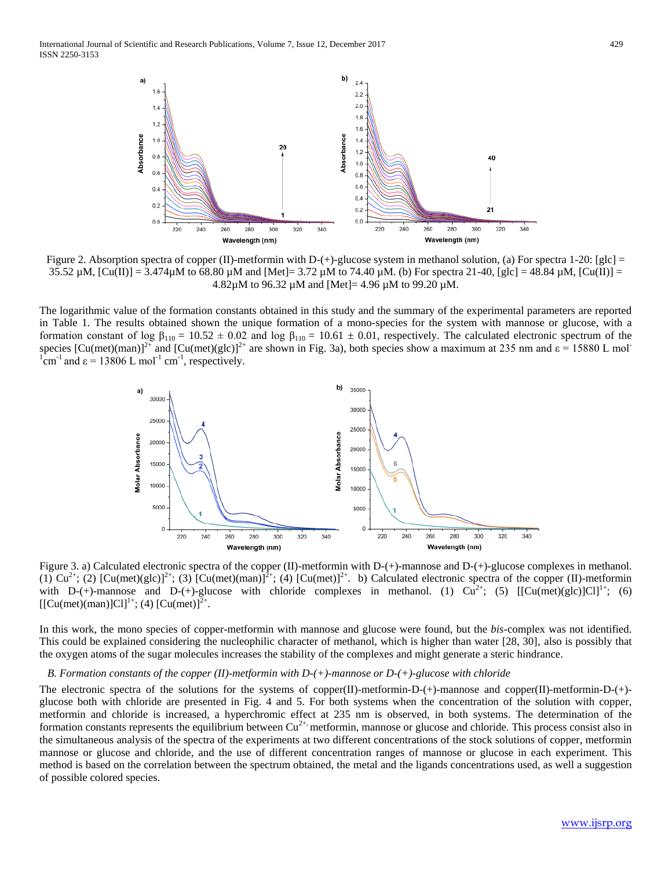

Figure 2. Absorption spectra of copper (II)-metformin with  $D-(+)$ -glucose system in methanol solution, (a) For spectra 1-20: [glc] = 35.52  $\mu$ M, [Cu(II)] = 3.474 $\mu$ M to 68.80  $\mu$ M and [Met]= 3.72  $\mu$ M to 74.40  $\mu$ M. (b) For spectra 21-40, [glc] = 48.84  $\mu$ M, [Cu(II)] = 4.82 $\mu$ M to 96.32  $\mu$ M and [Met]= 4.96  $\mu$ M to 99.20  $\mu$ M.

The logarithmic value of the formation constants obtained in this study and the summary of the experimental parameters are reported in Table 1. The results obtained shown the unique formation of a mono-species for the system with mannose or glucose, with a formation constant of log β<sub>110</sub> = 10.52  $\pm$  0.02 and log β<sub>110</sub> = 10.61  $\pm$  0.01, respectively. The calculated electronic spectrum of the species  $[Cu(met)(man)]^{2+}$  and  $[Cu(met)(glc)]^{2+}$  are shown in Fig. 3a), both species show a maximum at 235 nm and  $\varepsilon = 15880$  L mol<sup>-</sup>  $\text{m}^{\text{-1}}$  and  $\epsilon = 13806 \text{ L mol}^{\text{-1}} \text{ cm}^{\text{-1}}$ , respectively.



Figure 3. a) Calculated electronic spectra of the copper (II)-metformin with D-(+)-mannose and D-(+)-glucose complexes in methanol. (1)  $Cu^{2+}$ ; (2)  $[Cu(met)(glc)]^{2+}$ ; (3)  $[Cu(met)(man)]^{2+}$ ; (4)  $[Cu(met)]^{2+}$ . b) Calculated electronic spectra of the copper (II)-metformin with D-(+)-mannose and D-(+)-glucose with chloride complexes in methanol. (1)  $Cu^{2+}$ ; (5)  $[[Cu(met)(glc)]Cl]^{1+}$ ; (6)  $[[Cu(met)(man)]Cl]^{1+}$ ; (4)  $[Cu(met)]^{2+}$ .

In this work, the mono species of copper-metformin with mannose and glucose were found, but the *bis*-complex was not identified. This could be explained considering the nucleophilic character of methanol, which is higher than water [28, 30], also is possibly that the oxygen atoms of the sugar molecules increases the stability of the complexes and might generate a steric hindrance.

#### *B. Formation constants of the copper (II)-metformin with D-(+)-mannose or D-(+)-glucose with chloride*

The electronic spectra of the solutions for the systems of copper(II)-metformin-D-(+)-mannose and copper(II)-metformin-D-(+) glucose both with chloride are presented in Fig. 4 and 5. For both systems when the concentration of the solution with copper, metformin and chloride is increased, a hyperchromic effect at 235 nm is observed, in both systems. The determination of the formation constants represents the equilibrium between  $Cu^{2+}$ , metformin, mannose or glucose and chloride. This process consist also in the simultaneous analysis of the spectra of the experiments at two different concentrations of the stock solutions of copper, metformin mannose or glucose and chloride, and the use of different concentration ranges of mannose or glucose in each experiment. This method is based on the correlation between the spectrum obtained, the metal and the ligands concentrations used, as well a suggestion of possible colored species.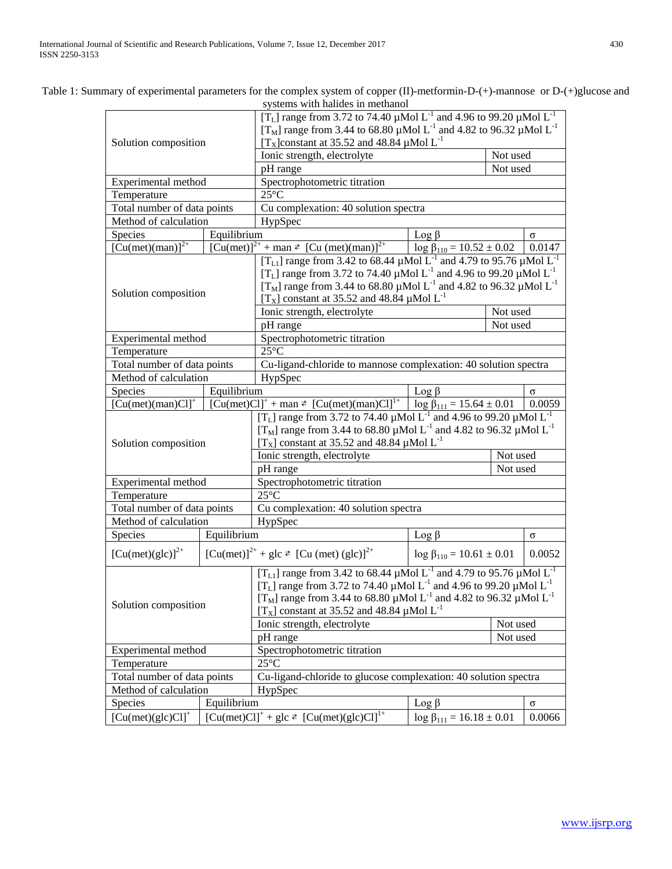| [T <sub>L</sub> ] range from 3.72 to 74.40 $\mu$ Mol L <sup>-1</sup> and 4.96 to 99.20 $\mu$ Mol L <sup>-1</sup> |             |                                                                                                                                                                                                                                                                                                                                                                                                                                                                                     |                                                                                                        |          |             |  |
|------------------------------------------------------------------------------------------------------------------|-------------|-------------------------------------------------------------------------------------------------------------------------------------------------------------------------------------------------------------------------------------------------------------------------------------------------------------------------------------------------------------------------------------------------------------------------------------------------------------------------------------|--------------------------------------------------------------------------------------------------------|----------|-------------|--|
|                                                                                                                  |             | [T <sub>M</sub> ] range from 3.44 to 68.80 µMol L <sup>-1</sup> and 4.82 to 96.32 µMol L <sup>-1</sup>                                                                                                                                                                                                                                                                                                                                                                              |                                                                                                        |          |             |  |
| Solution composition                                                                                             |             |                                                                                                                                                                                                                                                                                                                                                                                                                                                                                     | [T <sub>X</sub> ] constant at 35.52 and 48.84 $\mu$ Mol L <sup>-1</sup>                                |          |             |  |
|                                                                                                                  |             | Ionic strength, electrolyte                                                                                                                                                                                                                                                                                                                                                                                                                                                         |                                                                                                        | Not used |             |  |
|                                                                                                                  |             | pH range                                                                                                                                                                                                                                                                                                                                                                                                                                                                            |                                                                                                        | Not used |             |  |
| Experimental method                                                                                              |             | Spectrophotometric titration                                                                                                                                                                                                                                                                                                                                                                                                                                                        |                                                                                                        |          |             |  |
| Temperature                                                                                                      |             | $25^{\circ}$ C                                                                                                                                                                                                                                                                                                                                                                                                                                                                      |                                                                                                        |          |             |  |
| Total number of data points                                                                                      |             | Cu complexation: 40 solution spectra                                                                                                                                                                                                                                                                                                                                                                                                                                                |                                                                                                        |          |             |  |
| Method of calculation                                                                                            |             | HypSpec                                                                                                                                                                                                                                                                                                                                                                                                                                                                             |                                                                                                        |          |             |  |
| Species                                                                                                          | Equilibrium |                                                                                                                                                                                                                                                                                                                                                                                                                                                                                     | $Log \beta$                                                                                            |          | σ           |  |
| $[Cu(met)(man)]^{2+}$                                                                                            |             | $\left[\text{Cu(met)}\right]^{2+}$ + man $\approx \left[\text{Cu (met)(man)}\right]^{2+}$                                                                                                                                                                                                                                                                                                                                                                                           | $\log \beta_{110} = 10.52 \pm 0.02$                                                                    |          | 0.0147      |  |
|                                                                                                                  |             | [T <sub>L1</sub> ] range from 3.42 to 68.44 µMol L <sup>-1</sup> and 4.79 to 95.76 µMol L <sup>-1</sup>                                                                                                                                                                                                                                                                                                                                                                             |                                                                                                        |          |             |  |
|                                                                                                                  |             | [T <sub>L</sub> ] range from 3.72 to 74.40 $\mu$ Mol L <sup>-1</sup> and 4.96 to 99.20 $\mu$ Mol L <sup>-1</sup>                                                                                                                                                                                                                                                                                                                                                                    |                                                                                                        |          |             |  |
|                                                                                                                  |             |                                                                                                                                                                                                                                                                                                                                                                                                                                                                                     | [T <sub>M</sub> ] range from 3.44 to 68.80 µMol L <sup>-1</sup> and 4.82 to 96.32 µMol L <sup>-1</sup> |          |             |  |
| Solution composition                                                                                             |             | [T <sub>X</sub> ] constant at 35.52 and 48.84 $\mu$ Mol L <sup>-1</sup>                                                                                                                                                                                                                                                                                                                                                                                                             |                                                                                                        |          |             |  |
|                                                                                                                  |             | Ionic strength, electrolyte                                                                                                                                                                                                                                                                                                                                                                                                                                                         |                                                                                                        | Not used |             |  |
|                                                                                                                  |             | pH range                                                                                                                                                                                                                                                                                                                                                                                                                                                                            |                                                                                                        |          | Not used    |  |
| Experimental method                                                                                              |             | Spectrophotometric titration                                                                                                                                                                                                                                                                                                                                                                                                                                                        |                                                                                                        |          |             |  |
| Temperature                                                                                                      |             | $25^{\circ}$ C                                                                                                                                                                                                                                                                                                                                                                                                                                                                      |                                                                                                        |          |             |  |
| Total number of data points                                                                                      |             | Cu-ligand-chloride to mannose complexation: 40 solution spectra                                                                                                                                                                                                                                                                                                                                                                                                                     |                                                                                                        |          |             |  |
| Method of calculation                                                                                            |             | HypSpec                                                                                                                                                                                                                                                                                                                                                                                                                                                                             |                                                                                                        |          |             |  |
| Species                                                                                                          | Equilibrium |                                                                                                                                                                                                                                                                                                                                                                                                                                                                                     |                                                                                                        |          |             |  |
| $[Cu(met)(man)Cl]^{+}$                                                                                           |             | $[Cu(met)Cl]^{+}$ + man $\approx$ $[Cu(met)(man)Cl]^{1+}$   $\log \beta_{111} = 15.64 \pm 0.01$                                                                                                                                                                                                                                                                                                                                                                                     | $Log \beta$                                                                                            |          | σ<br>0.0059 |  |
| Solution composition                                                                                             |             | [T <sub>L</sub> ] range from 3.72 to 74.40 $\mu$ Mol L <sup>-1</sup> and 4.96 to 99.20 $\mu$ Mol L <sup>-1</sup><br>[T <sub>M</sub> ] range from 3.44 to 68.80 µMol L <sup>-1</sup> and 4.82 to 96.32 µMol L <sup>-1</sup><br>[T <sub>X</sub> ] constant at 35.52 and 48.84 $\mu$ Mol L <sup>-1</sup><br>Ionic strength, electrolyte<br>Not used                                                                                                                                    |                                                                                                        |          |             |  |
|                                                                                                                  |             | pH range                                                                                                                                                                                                                                                                                                                                                                                                                                                                            |                                                                                                        | Not used |             |  |
| Experimental method                                                                                              |             |                                                                                                                                                                                                                                                                                                                                                                                                                                                                                     |                                                                                                        |          |             |  |
|                                                                                                                  |             | Spectrophotometric titration                                                                                                                                                                                                                                                                                                                                                                                                                                                        |                                                                                                        |          |             |  |
| Temperature<br>Total number of data points                                                                       |             |                                                                                                                                                                                                                                                                                                                                                                                                                                                                                     | $25^{\circ}$ C                                                                                         |          |             |  |
|                                                                                                                  |             | Cu complexation: 40 solution spectra                                                                                                                                                                                                                                                                                                                                                                                                                                                |                                                                                                        |          |             |  |
| Method of calculation                                                                                            |             | HypSpec                                                                                                                                                                                                                                                                                                                                                                                                                                                                             |                                                                                                        |          |             |  |
| Species                                                                                                          | Equilibrium |                                                                                                                                                                                                                                                                                                                                                                                                                                                                                     | $Log \beta$                                                                                            |          | $\sigma$    |  |
| $[Cu(met)(glc)]^{2+}$                                                                                            |             | $[Cu(met)]^{2+}$ + glc $\neq$ [Cu (met) (glc)] <sup>2+</sup>                                                                                                                                                                                                                                                                                                                                                                                                                        | $\log \beta_{110} = 10.61 \pm 0.01$                                                                    |          | 0.0052      |  |
| Solution composition                                                                                             |             | [T <sub>L1</sub> ] range from 3.42 to 68.44 µMol L <sup>-1</sup> and 4.79 to 95.76 µMol L <sup>-1</sup><br>[T <sub>L</sub> ] range from 3.72 to 74.40 $\mu$ Mol L <sup>-1</sup> and 4.96 to 99.20 $\mu$ Mol L <sup>-1</sup><br>[T <sub>M</sub> ] range from 3.44 to 68.80 µMol L <sup>-1</sup> and 4.82 to 96.32 µMol L <sup>-1</sup><br>[T <sub>X</sub> ] constant at 35.52 and 48.84 $\mu$ Mol L <sup>-1</sup><br>Ionic strength, electrolyte<br>Not used<br>Not used<br>pH range |                                                                                                        |          |             |  |
| Experimental method                                                                                              |             | Spectrophotometric titration                                                                                                                                                                                                                                                                                                                                                                                                                                                        |                                                                                                        |          |             |  |
| Temperature                                                                                                      |             | $25^{\circ}$ C                                                                                                                                                                                                                                                                                                                                                                                                                                                                      |                                                                                                        |          |             |  |
| Total number of data points                                                                                      |             | Cu-ligand-chloride to glucose complexation: 40 solution spectra                                                                                                                                                                                                                                                                                                                                                                                                                     |                                                                                                        |          |             |  |
| Method of calculation                                                                                            |             | HypSpec                                                                                                                                                                                                                                                                                                                                                                                                                                                                             |                                                                                                        |          |             |  |
|                                                                                                                  |             |                                                                                                                                                                                                                                                                                                                                                                                                                                                                                     |                                                                                                        |          |             |  |
| Species                                                                                                          | Equilibrium |                                                                                                                                                                                                                                                                                                                                                                                                                                                                                     | $Log \beta$                                                                                            |          | $\sigma$    |  |
| $[Cu(met)(glc)Cl]^{+}$                                                                                           |             | $[Cu(met)Cl]^+$ + glc $\geq$ $[Cu(met)(glc)Cl]^{1+}$                                                                                                                                                                                                                                                                                                                                                                                                                                | $\log \beta_{111} = 16.18 \pm 0.01$                                                                    |          | 0.0066      |  |

Table 1: Summary of experimental parameters for the complex system of copper (II)-metformin-D-(+)-mannose or D-(+)glucose and systems with halides in methanol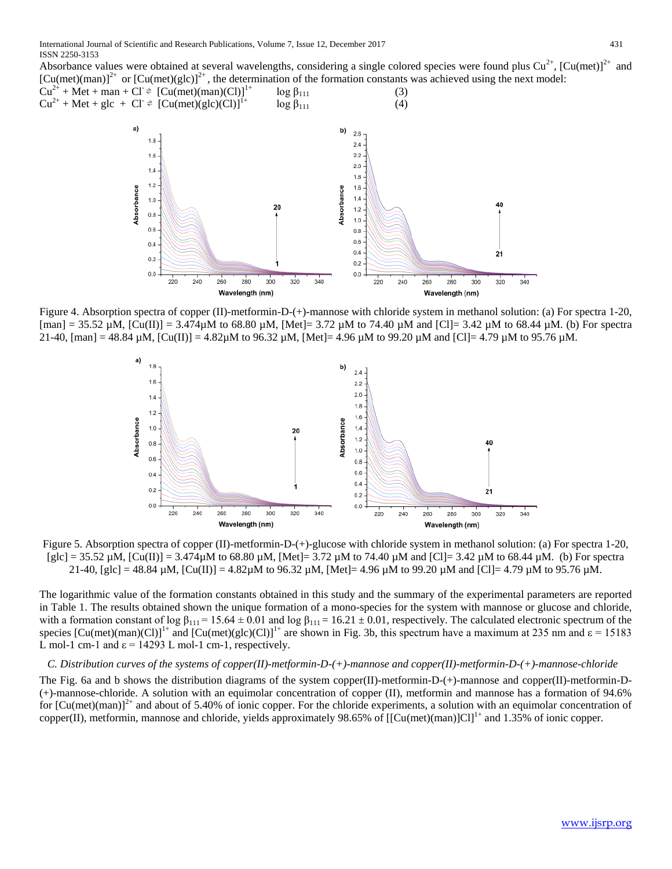Absorbance values were obtained at several wavelengths, considering a single colored species were found plus  $Cu^{2+}$ ,  $[Cu(met)]^{2+}$  and  $[Cu(met)(man)]^{2+}$  or  $[Cu(met)(glc)]^{2+}$ , the determination of the formation constants was achieved using the next model:



Figure 4. Absorption spectra of copper (II)-metformin-D-(+)-mannose with chloride system in methanol solution: (a) For spectra 1-20,  $[\text{man}] = 35.52 \,\mu\text{M}$ ,  $[\text{Cu(II)}] = 3.474 \,\mu\text{M}$  to 68.80  $\mu\text{M}$ ,  $[\text{Met}] = 3.72 \,\mu\text{M}$  to 74.40  $\mu\text{M}$  and  $[\text{Cl}] = 3.42 \,\mu\text{M}$  to 68.44  $\mu\text{M}$ . (b) For spectra 21-40,  $[man] = 48.84 \mu M$ ,  $[Cu(II)] = 4.82 \mu M$  to 96.32  $\mu$ M,  $[Met] = 4.96 \mu M$  to 99.20  $\mu$ M and  $[Cl] = 4.79 \mu M$  to 95.76  $\mu$ M.



Figure 5. Absorption spectra of copper (II)-metformin-D-(+)-glucose with chloride system in methanol solution: (a) For spectra 1-20,  $[g] = 35.52 \mu M$ ,  $[Cu] = 3.474 \mu M$  to 68.80  $\mu$ M,  $[Met] = 3.72 \mu M$  to 74.40  $\mu$ M and  $[C] = 3.42 \mu M$  to 68.44  $\mu$ M. (b) For spectra 21-40,  $[g|c] = 48.84 \mu M$ ,  $[Cu(H)] = 4.82 \mu M$  to 96.32  $\mu$ M,  $[Met] = 4.96 \mu M$  to 99.20  $\mu$ M and  $[C] = 4.79 \mu M$  to 95.76  $\mu$ M.

The logarithmic value of the formation constants obtained in this study and the summary of the experimental parameters are reported in Table 1. The results obtained shown the unique formation of a mono-species for the system with mannose or glucose and chloride, with a formation constant of  $\log \beta_{111} = 15.64 \pm 0.01$  and  $\log \beta_{111} = 16.21 \pm 0.01$ , respectively. The calculated electronic spectrum of the species  $\text{[Cu(met)(man)(Cl)]}^{1+}$  and  $\text{[Cu(met)(glc)(Cl)]}^{1+}$  are shown in Fig. 3b, this spectrum have a maximum at 235 nm and  $\varepsilon = 15183$ L mol-1 cm-1 and  $\varepsilon$  = 14293 L mol-1 cm-1, respectively.

# *C. Distribution curves of the systems of copper(II)-metformin-D-(+)-mannose and copper(II)-metformin-D-(+)-mannose-chloride*

The Fig. 6a and b shows the distribution diagrams of the system copper(II)-metformin-D-(+)-mannose and copper(II)-metformin-D- (+)-mannose-chloride. A solution with an equimolar concentration of copper (II), metformin and mannose has a formation of 94.6% for  $[Cu(met)(man)]^{2+}$  and about of 5.40% of ionic copper. For the chloride experiments, a solution with an equimolar concentration of copper(II), metformin, mannose and chloride, yields approximately 98.65% of  $[[Cu(met)(man)]Cl]^{1+}$  and 1.35% of ionic copper.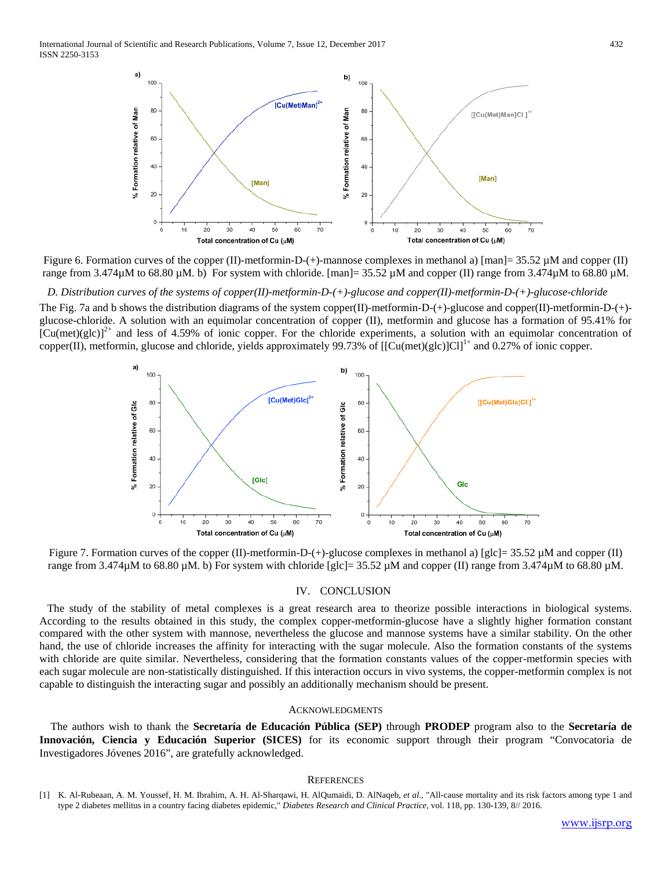International Journal of Scientific and Research Publications, Volume 7, Issue 12, December 2017 432 ISSN 2250-3153



Figure 6. Formation curves of the copper (II)-metformin-D-(+)-mannose complexes in methanol a) [man]=  $35.52 \mu$ M and copper (II) range from 3.474 $\mu$ M to 68.80  $\mu$ M. b) For system with chloride. [man]= 35.52  $\mu$ M and copper (II) range from 3.474 $\mu$ M to 68.80  $\mu$ M.

*D. Distribution curves of the systems of copper(II)-metformin-D-(+)-glucose and copper(II)-metformin-D-(+)-glucose-chloride*

The Fig. 7a and b shows the distribution diagrams of the system copper(II)-metformin-D-(+)-glucose and copper(II)-metformin-D-(+) glucose-chloride. A solution with an equimolar concentration of copper (II), metformin and glucose has a formation of 95.41% for  $[Cu(met)(glc)]^{2+}$  and less of 4.59% of ionic copper. For the chloride experiments, a solution with an equimolar concentration of copper(II), metformin, glucose and chloride, yields approximately 99.73% of  $\left[\frac{\text{Cu}(\text{met})(\text{glc})}{\text{Cu}(\text{met})(\text{glc})}\right]$ <sup>1+</sup> and 0.27% of ionic copper.



Figure 7. Formation curves of the copper (II)-metformin-D-(+)-glucose complexes in methanol a) [glc]= 35.52 µM and copper (II) range from 3.474 $\mu$ M to 68.80  $\mu$ M. b) For system with chloride [glc]= 35.52  $\mu$ M and copper (II) range from 3.474 $\mu$ M to 68.80  $\mu$ M.

# IV. CONCLUSION

The study of the stability of metal complexes is a great research area to theorize possible interactions in biological systems. According to the results obtained in this study, the complex copper-metformin-glucose have a slightly higher formation constant compared with the other system with mannose, nevertheless the glucose and mannose systems have a similar stability. On the other hand, the use of chloride increases the affinity for interacting with the sugar molecule. Also the formation constants of the systems with chloride are quite similar. Nevertheless, considering that the formation constants values of the copper-metformin species with each sugar molecule are non-statistically distinguished. If this interaction occurs in vivo systems, the copper-metformin complex is not capable to distinguish the interacting sugar and possibly an additionally mechanism should be present.

#### ACKNOWLEDGMENTS

The authors wish to thank the **Secretaría de Educación Pública (SEP)** through **PRODEP** program also to the **Secretaría de Innovación, Ciencia y Educación Superior (SICES)** for its economic support through their program "Convocatoria de Investigadores Jóvenes 2016", are gratefully acknowledged.

#### **REFERENCES**

<sup>[1]</sup> K. Al-Rubeaan, A. M. Youssef, H. M. Ibrahim, A. H. Al-Sharqawi, H. AlQumaidi, D. AlNaqeb*, et al.*, "All-cause mortality and its risk factors among type 1 and type 2 diabetes mellitus in a country facing diabetes epidemic," *Diabetes Research and Clinical Practice,* vol. 118, pp. 130-139, 8// 2016.